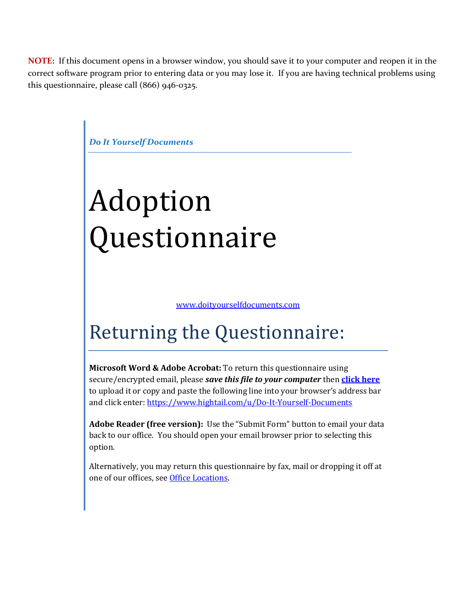**NOTE:** If this document opens in a browser window, you should save it to your computer and reopen it in the correct software program prior to entering data or you may lose it. If you are having technical problems using this questionnaire, please call (866) 946-0325.



# Returning the Questionnaire:

**Microsoft Word & Adobe Acrobat:** To return this questionnaire using secure/encrypted email, please *save this file to your computer* then **[click here](https://www.hightail.com/u/Do-It-Yourself-Documents)** to upload it or copy and paste the following line into your browser's address bar and click enter:<https://www.hightail.com/u/Do-It-Yourself-Documents>

**Adobe Reader (free version):** Use the "Submit Form" button to email your data back to our office. You should open your email browser prior to selecting this option.

Alternatively, you may return this questionnaire by fax, mail or dropping it off at one of our offices, see [Office Locations.](http://www.doityourselfdocuments.com/office/)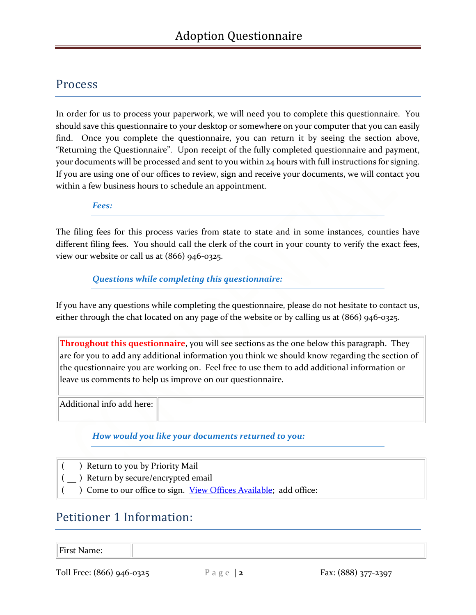### Process

In order for us to process your paperwork, we will need you to complete this questionnaire. You should save this questionnaire to your desktop or somewhere on your computer that you can easily find. Once you complete the questionnaire, you can return it by seeing the section above, "Returning the Questionnaire". Upon receipt of the fully completed questionnaire and payment, your documents will be processed and sent to you within 24 hours with full instructions for signing. If you are using one of our offices to review, sign and receive your documents, we will contact you within a few business hours to schedule an appointment.

*Fees:*

The filing fees for this process varies from state to state and in some instances, counties have different filing fees. You should call the clerk of the court in your county to verify the exact fees, view our website or call us at (866) 946-0325.

#### *Questions while completing this questionnaire:*

If you have any questions while completing the questionnaire, please do not hesitate to contact us, either through the chat located on any page of the website or by calling us at (866) 946-0325.

**Throughout this questionnaire**, you will see sections as the one below this paragraph. They are for you to add any additional information you think we should know regarding the section of the questionnaire you are working on. Feel free to use them to add additional information or leave us comments to help us improve on our questionnaire.

Additional info add here:

*How would you like your documents returned to you:*

- ( ) Return to you by Priority Mail
- ( ) Return by secure/encrypted email
	- ( ) Come to our office to sign. [View Offices Available;](http://www.doityourselfdocuments.com/office/) add office:

### Petitioner 1 Information:

First Name:

Toll Free: (866) 946-0325 P a g e | **2** Fax: (888) 377-2397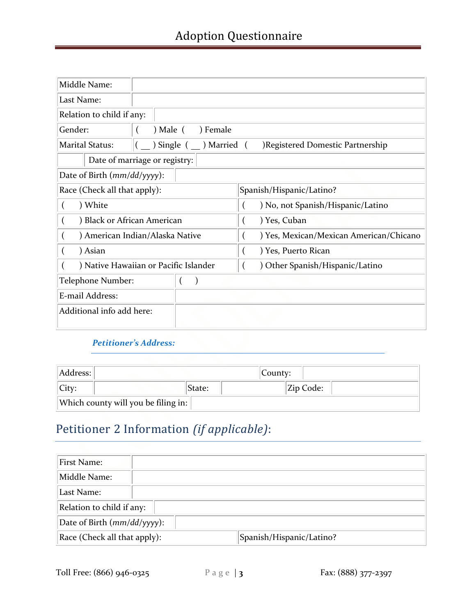| Middle Name:                                      |                                                             |                                         |  |  |
|---------------------------------------------------|-------------------------------------------------------------|-----------------------------------------|--|--|
| Last Name:                                        |                                                             |                                         |  |  |
| Relation to child if any:                         |                                                             |                                         |  |  |
| Gender:                                           | $)$ Male $($<br>) Female                                    |                                         |  |  |
| <b>Marital Status:</b>                            | Single (<br>) Married (<br>)Registered Domestic Partnership |                                         |  |  |
|                                                   | Date of marriage or registry:                               |                                         |  |  |
| Date of Birth $(mm/dd/yyyy)$ :                    |                                                             |                                         |  |  |
| Race (Check all that apply):                      |                                                             | Spanish/Hispanic/Latino?                |  |  |
| ) White                                           |                                                             | ) No, not Spanish/Hispanic/Latino       |  |  |
| ) Black or African American<br>$\left($           |                                                             | ) Yes, Cuban                            |  |  |
| ) American Indian/Alaska Native<br>$\overline{ }$ |                                                             | ) Yes, Mexican/Mexican American/Chicano |  |  |
| ) Asian<br>$\Box$                                 |                                                             | ) Yes, Puerto Rican                     |  |  |
| ) Native Hawaiian or Pacific Islander             |                                                             | Other Spanish/Hispanic/Latino           |  |  |
| Telephone Number:                                 |                                                             |                                         |  |  |
| E-mail Address:                                   |                                                             |                                         |  |  |
| Additional info add here:                         |                                                             |                                         |  |  |

#### *Petitioner's Address:*

| Address:                            |        | County:   |  |
|-------------------------------------|--------|-----------|--|
| City:                               | State: | Zip Code: |  |
| Which county will you be filing in: |        |           |  |

### Petitioner 2 Information *(if applicable)*:

| First Name:                                              |  |  |
|----------------------------------------------------------|--|--|
| Middle Name:                                             |  |  |
| Last Name:                                               |  |  |
| Relation to child if any:                                |  |  |
| Date of Birth $(mm/dd/yyyy)$ :                           |  |  |
| Race (Check all that apply):<br>Spanish/Hispanic/Latino? |  |  |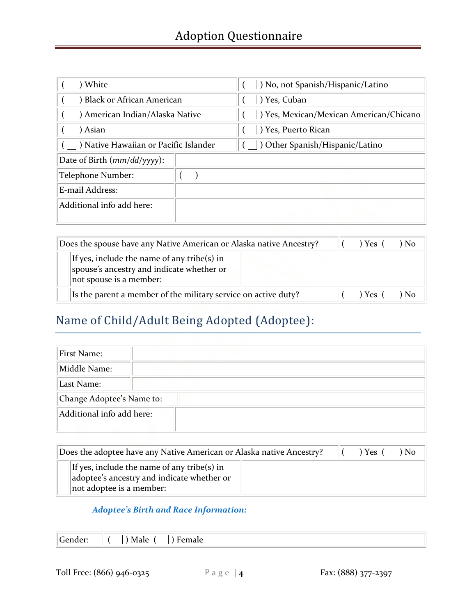| ) White                               |  | ) No, not Spanish/Hispanic/Latino       |  |  |
|---------------------------------------|--|-----------------------------------------|--|--|
| Black or African American             |  | Yes, Cuban                              |  |  |
| ) American Indian/Alaska Native       |  | ) Yes, Mexican/Mexican American/Chicano |  |  |
| Asian                                 |  | Yes, Puerto Rican                       |  |  |
| ) Native Hawaiian or Pacific Islander |  | Other Spanish/Hispanic/Latino           |  |  |
| Date of Birth $(mm/dd/yyyy)$ :        |  |                                         |  |  |
| Telephone Number:                     |  |                                         |  |  |
| E-mail Address:                       |  |                                         |  |  |
| Additional info add here:             |  |                                         |  |  |
|                                       |  |                                         |  |  |

|                                                                                                                     | Does the spouse have any Native American or Alaska native Ancestry?     |  |                | ) Yes ( | N <sub>0</sub> |
|---------------------------------------------------------------------------------------------------------------------|-------------------------------------------------------------------------|--|----------------|---------|----------------|
| If yes, include the name of any tribe(s) in<br>spouse's ancestry and indicate whether or<br>not spouse is a member: |                                                                         |  |                |         |                |
|                                                                                                                     | Is the parent a member of the military service on active duty?<br>Yes ( |  | N <sub>0</sub> |         |                |

## Name of Child/Adult Being Adopted (Adoptee):

| First Name:               |  |
|---------------------------|--|
| Middle Name:              |  |
| Last Name:                |  |
| Change Adoptee's Name to: |  |
| Additional info add here: |  |

| Does the adoptee have any Native American or Alaska native Ancestry? |                                                                                                                       | ) Yes- | N <sub>0</sub> |  |
|----------------------------------------------------------------------|-----------------------------------------------------------------------------------------------------------------------|--------|----------------|--|
|                                                                      | If yes, include the name of any tribe(s) in<br>adoptee's ancestry and indicate whether or<br>not adoptee is a member: |        |                |  |

#### *Adoptee's Birth and Race Information:*

|--|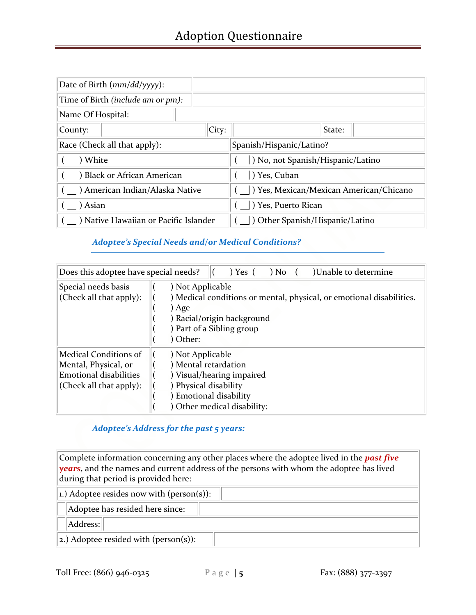| Date of Birth $(mm/dd/yyyy)$ :        |                                         |  |  |
|---------------------------------------|-----------------------------------------|--|--|
| Time of Birth (include am or pm):     |                                         |  |  |
| Name Of Hospital:                     |                                         |  |  |
| City:<br>County:                      | State:                                  |  |  |
| Race (Check all that apply):          | Spanish/Hispanic/Latino?                |  |  |
| ) White                               | ) No, not Spanish/Hispanic/Latino       |  |  |
| Black or African American             | Yes, Cuban                              |  |  |
| American Indian/Alaska Native         | ) Yes, Mexican/Mexican American/Chicano |  |  |
| Asian                                 | ) Yes, Puerto Rican                     |  |  |
| ) Native Hawaiian or Pacific Islander | Other Spanish/Hispanic/Latino           |  |  |

#### *Adoptee's Special Needs and/or Medical Conditions?*

| Does this adoptee have special needs?                                                                            | )Unable to determine<br>$\vert$ ) No<br>$) Yes$ (                                                                                                                      |  |
|------------------------------------------------------------------------------------------------------------------|------------------------------------------------------------------------------------------------------------------------------------------------------------------------|--|
| Special needs basis<br>(Check all that apply):                                                                   | ) Not Applicable<br>) Medical conditions or mental, physical, or emotional disabilities.<br>) Age<br>) Racial/origin background<br>) Part of a Sibling group<br>Other: |  |
| <b>Medical Conditions of</b><br>Mental, Physical, or<br><b>Emotional disabilities</b><br>(Check all that apply): | ) Not Applicable<br>) Mental retardation<br>) Visual/hearing impaired<br>) Physical disability<br>Emotional disability<br>Other medical disability:                    |  |

#### *Adoptee's Address for the past 5 years:*

Complete information concerning any other places where the adoptee lived in the *past five years*, and the names and current address of the persons with whom the adoptee has lived during that period is provided here:

| 1.) Adoptee resides now with (person(s)): |  |  |
|-------------------------------------------|--|--|
| Adoptee has resided here since:           |  |  |
| Address:                                  |  |  |
| 2.) Adoptee resided with (person(s)):     |  |  |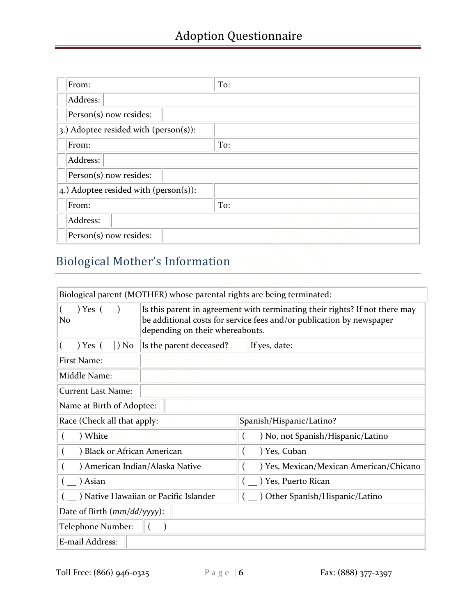| From:                                     | To: |
|-------------------------------------------|-----|
| Address:                                  |     |
| Person(s) now resides:                    |     |
| 3.) Adoptee resided with ( $person(s)$ ): |     |
| From:                                     | To: |
| Address:                                  |     |
| Person(s) now resides:                    |     |
| $ 4.$ ) Adoptee resided with (person(s)): |     |
| From:                                     | To: |
| Address:                                  |     |
| Person(s) now resides:                    |     |

# Biological Mother's Information

| Biological parent (MOTHER) whose parental rights are being terminated: |                                                                                                                                                                                        |                                         |  |  |
|------------------------------------------------------------------------|----------------------------------------------------------------------------------------------------------------------------------------------------------------------------------------|-----------------------------------------|--|--|
| $)$ Yes $($<br>N <sub>o</sub>                                          | Is this parent in agreement with terminating their rights? If not there may<br>be additional costs for service fees and/or publication by newspaper<br>depending on their whereabouts. |                                         |  |  |
| ) Yes (<br>$\vert$ ) No                                                | Is the parent deceased?<br>If yes, date:                                                                                                                                               |                                         |  |  |
| First Name:                                                            |                                                                                                                                                                                        |                                         |  |  |
| Middle Name:                                                           |                                                                                                                                                                                        |                                         |  |  |
| <b>Current Last Name:</b>                                              |                                                                                                                                                                                        |                                         |  |  |
| Name at Birth of Adoptee:                                              |                                                                                                                                                                                        |                                         |  |  |
| Race (Check all that apply:                                            |                                                                                                                                                                                        | Spanish/Hispanic/Latino?                |  |  |
| ) White                                                                |                                                                                                                                                                                        | ) No, not Spanish/Hispanic/Latino       |  |  |
| Black or African American                                              |                                                                                                                                                                                        | ) Yes, Cuban                            |  |  |
| ) American Indian/Alaska Native                                        |                                                                                                                                                                                        | ) Yes, Mexican/Mexican American/Chicano |  |  |
| ) Asian                                                                |                                                                                                                                                                                        | ) Yes, Puerto Rican                     |  |  |
|                                                                        | Native Hawaiian or Pacific Islander                                                                                                                                                    | ) Other Spanish/Hispanic/Latino         |  |  |
| Date of Birth (mm/dd/yyyy):                                            |                                                                                                                                                                                        |                                         |  |  |
| Telephone Number:                                                      |                                                                                                                                                                                        |                                         |  |  |
| E-mail Address:                                                        |                                                                                                                                                                                        |                                         |  |  |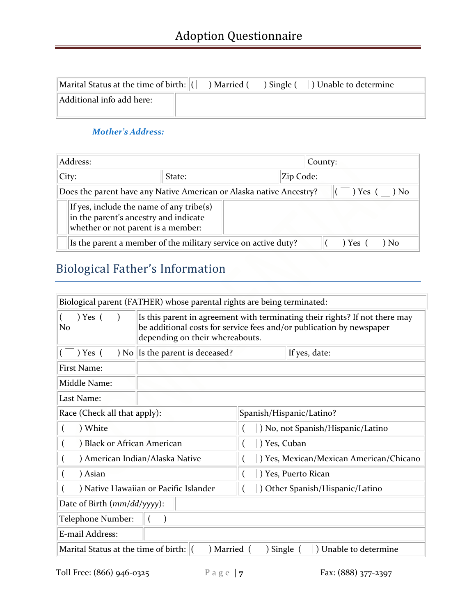| Marital Status at the time of birth: $  ($ | ) Married ( | $\sum$ ) Single ( | ) Unable to determine |
|--------------------------------------------|-------------|-------------------|-----------------------|
| Additional info add here:                  |             |                   |                       |

#### *Mother's Address:*

| Address:                                                                                                                |       |        | County: |           |  |
|-------------------------------------------------------------------------------------------------------------------------|-------|--------|---------|-----------|--|
|                                                                                                                         | City: | State: |         | Zip Code: |  |
| $) Yes$ (<br>Does the parent have any Native American or Alaska native Ancestry?                                        |       |        |         | ) No      |  |
| If yes, include the name of any tribe(s)<br>in the parent's ancestry and indicate<br>whether or not parent is a member: |       |        |         |           |  |
| Is the parent a member of the military service on active duty?<br>$1 Yes$ $\prime$                                      |       |        | ) No    |           |  |

# Biological Father's Information

| Biological parent (FATHER) whose parental rights are being terminated:                        |                                                                                                                                                                                        |                                         |                                   |  |  |
|-----------------------------------------------------------------------------------------------|----------------------------------------------------------------------------------------------------------------------------------------------------------------------------------------|-----------------------------------------|-----------------------------------|--|--|
| $) Yes$ (<br>N <sub>o</sub>                                                                   | Is this parent in agreement with terminating their rights? If not there may<br>be additional costs for service fees and/or publication by newspaper<br>depending on their whereabouts. |                                         |                                   |  |  |
| ) Yes (                                                                                       | ) No Is the parent is deceased?                                                                                                                                                        |                                         | If yes, date:                     |  |  |
| <b>First Name:</b>                                                                            |                                                                                                                                                                                        |                                         |                                   |  |  |
| Middle Name:                                                                                  |                                                                                                                                                                                        |                                         |                                   |  |  |
| Last Name:                                                                                    |                                                                                                                                                                                        |                                         |                                   |  |  |
| Race (Check all that apply):                                                                  |                                                                                                                                                                                        | Spanish/Hispanic/Latino?                |                                   |  |  |
| ) White                                                                                       |                                                                                                                                                                                        |                                         | ) No, not Spanish/Hispanic/Latino |  |  |
| Black or African American                                                                     |                                                                                                                                                                                        | ) Yes, Cuban                            |                                   |  |  |
| ) American Indian/Alaska Native                                                               |                                                                                                                                                                                        | ) Yes, Mexican/Mexican American/Chicano |                                   |  |  |
| ) Asian                                                                                       |                                                                                                                                                                                        | ) Yes, Puerto Rican                     |                                   |  |  |
|                                                                                               | ) Native Hawaiian or Pacific Islander                                                                                                                                                  | Other Spanish/Hispanic/Latino           |                                   |  |  |
| Date of Birth (mm/dd/yyyy):                                                                   |                                                                                                                                                                                        |                                         |                                   |  |  |
| Telephone Number:                                                                             |                                                                                                                                                                                        |                                         |                                   |  |  |
| E-mail Address:                                                                               |                                                                                                                                                                                        |                                         |                                   |  |  |
| Marital Status at the time of birth:   <br>) Married (<br>) Single (<br>) Unable to determine |                                                                                                                                                                                        |                                         |                                   |  |  |